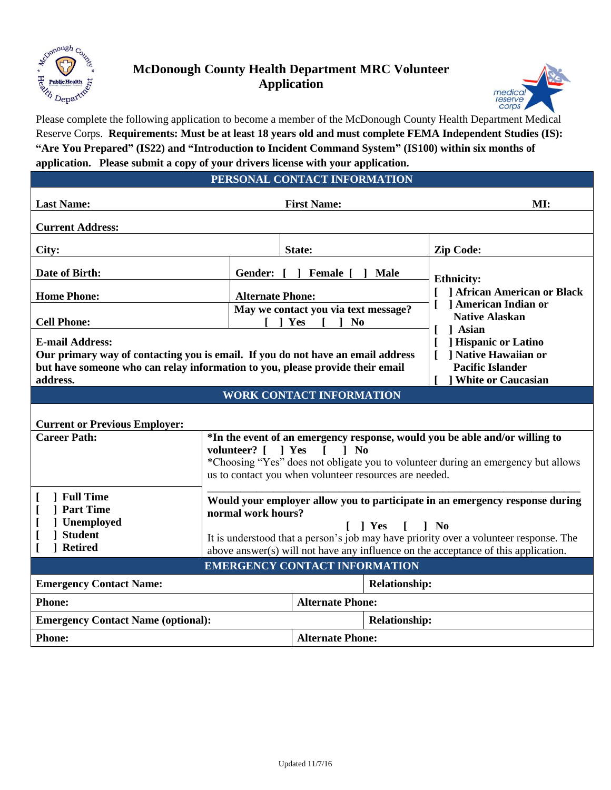

**[ ] Student [ ] Retired**

## **McDonough County Health Department MRC Volunteer Application**



Please complete the following application to become a member of the McDonough County Health Department Medical Reserve Corps. **Requirements: Must be at least 18 years old and must complete FEMA Independent Studies (IS): "Are You Prepared" (IS22) and "Introduction to Incident Command System" (IS100) within six months of** 

|                                                 | application. Please submit a copy of your drivers license with your application.                                                                                                                                                                                          |                                                                                                   |  |  |  |  |  |
|-------------------------------------------------|---------------------------------------------------------------------------------------------------------------------------------------------------------------------------------------------------------------------------------------------------------------------------|---------------------------------------------------------------------------------------------------|--|--|--|--|--|
|                                                 | PERSONAL CONTACT INFORMATION                                                                                                                                                                                                                                              |                                                                                                   |  |  |  |  |  |
| <b>Last Name:</b>                               | <b>First Name:</b>                                                                                                                                                                                                                                                        | MI:                                                                                               |  |  |  |  |  |
| <b>Current Address:</b>                         |                                                                                                                                                                                                                                                                           |                                                                                                   |  |  |  |  |  |
| City:                                           | State:                                                                                                                                                                                                                                                                    | <b>Zip Code:</b>                                                                                  |  |  |  |  |  |
| Date of Birth:                                  | Gender: [<br><b>Female</b> [<br>Male                                                                                                                                                                                                                                      | <b>Ethnicity:</b>                                                                                 |  |  |  |  |  |
| <b>Home Phone:</b>                              | <b>Alternate Phone:</b>                                                                                                                                                                                                                                                   | <b>African American or Black</b><br>] American Indian or<br><b>Native Alaskan</b><br><b>Asian</b> |  |  |  |  |  |
| <b>Cell Phone:</b>                              | May we contact you via text message?<br>N <sub>0</sub><br>Yes                                                                                                                                                                                                             |                                                                                                   |  |  |  |  |  |
| <b>E-mail Address:</b>                          |                                                                                                                                                                                                                                                                           | <b>Hispanic or Latino</b>                                                                         |  |  |  |  |  |
|                                                 | Our primary way of contacting you is email. If you do not have an email address<br>but have someone who can relay information to you, please provide their email                                                                                                          | ] Native Hawaiian or<br>L<br><b>Pacific Islander</b>                                              |  |  |  |  |  |
| address.                                        |                                                                                                                                                                                                                                                                           | <b>White or Caucasian</b>                                                                         |  |  |  |  |  |
|                                                 | <b>WORK CONTACT INFORMATION</b>                                                                                                                                                                                                                                           |                                                                                                   |  |  |  |  |  |
| <b>Current or Previous Employer:</b>            |                                                                                                                                                                                                                                                                           |                                                                                                   |  |  |  |  |  |
| <b>Career Path:</b>                             | *In the event of an emergency response, would you be able and/or willing to<br>volunteer? [ ] Yes<br>$\mid$ No<br>$\Gamma$<br>*Choosing "Yes" does not obligate you to volunteer during an emergency but allows<br>us to contact you when volunteer resources are needed. |                                                                                                   |  |  |  |  |  |
|                                                 |                                                                                                                                                                                                                                                                           |                                                                                                   |  |  |  |  |  |
| 1 Full Time<br><b>Part Time</b><br>] Unemployed | normal work hours?<br>  Yes                                                                                                                                                                                                                                               | Would your employer allow you to participate in an emergency response during<br>N <sub>0</sub>    |  |  |  |  |  |

It is understood that a person's job may have priority over a volunteer response. The above answer(s) will not have any influence on the acceptance of this application.

**EMERGENCY CONTACT INFORMATION**

**Emergency Contact Name: Relationship: Relationship:** 

**Emergency Contact Name (optional): Relationship: Relationship:** 

**Phone: Alternate Phone:** 

**Phone: Alternate Phone:**